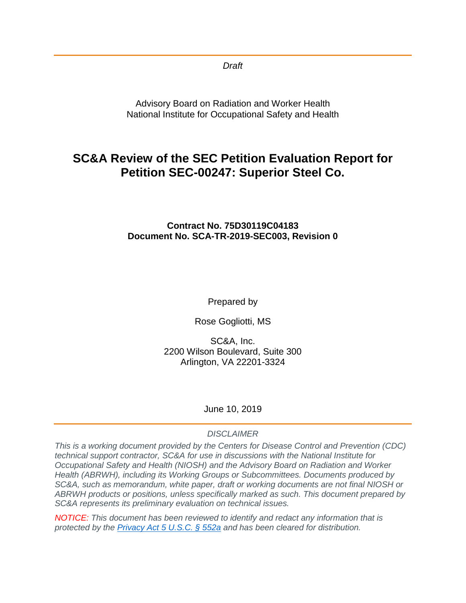*Draft*

Advisory Board on Radiation and Worker Health National Institute for Occupational Safety and Health

# **SC&A Review of the SEC Petition Evaluation Report for Petition SEC-00247: Superior Steel Co.**

### **Contract No. 75D30119C04183 Document No. SCA-TR-2019-SEC003, Revision 0**

Prepared by

Rose Gogliotti, MS

SC&A, Inc. 2200 Wilson Boulevard, Suite 300 Arlington, VA 22201-3324

### June 10, 2019

#### *DISCLAIMER*

*This is a working document provided by the Centers for Disease Control and Prevention (CDC) technical support contractor, SC&A for use in discussions with the National Institute for Occupational Safety and Health (NIOSH) and the Advisory Board on Radiation and Worker Health (ABRWH), including its Working Groups or Subcommittees. Documents produced by SC&A, such as memorandum, white paper, draft or working documents are not final NIOSH or ABRWH products or positions, unless specifically marked as such. This document prepared by SC&A represents its preliminary evaluation on technical issues.*

*NOTICE: This document has been reviewed to identify and redact any information that is protected by the [Privacy Act 5 U.S.C. § 552a](http://www.justice.gov/opcl/privacy-act-1974) and has been cleared for distribution.*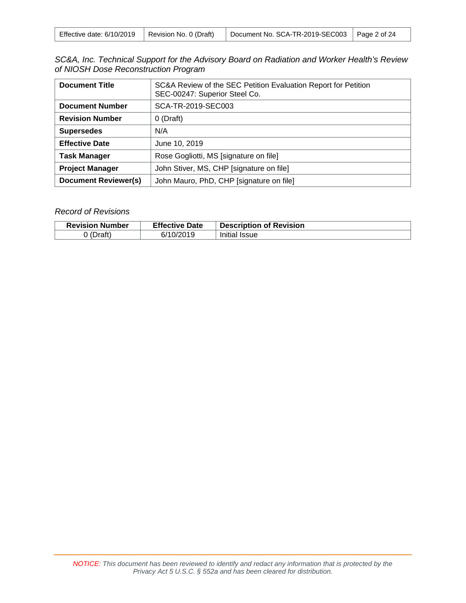| Effective date: 6/10/2019 | Revision No. 0 (Draft) | Document No. SCA-TR-2019-SEC003   Page 2 of 24 |  |
|---------------------------|------------------------|------------------------------------------------|--|
|---------------------------|------------------------|------------------------------------------------|--|

| SC&A, Inc. Technical Support for the Advisory Board on Radiation and Worker Health's Review |  |
|---------------------------------------------------------------------------------------------|--|
| of NIOSH Dose Reconstruction Program                                                        |  |

| <b>Document Title</b>       | SC&A Review of the SEC Petition Evaluation Report for Petition<br>SEC-00247: Superior Steel Co. |
|-----------------------------|-------------------------------------------------------------------------------------------------|
| <b>Document Number</b>      | SCA-TR-2019-SEC003                                                                              |
| <b>Revision Number</b>      | 0 (Draft)                                                                                       |
| <b>Supersedes</b>           | N/A                                                                                             |
| <b>Effective Date</b>       | June 10, 2019                                                                                   |
| <b>Task Manager</b>         | Rose Gogliotti, MS [signature on file]                                                          |
| <b>Project Manager</b>      | John Stiver, MS, CHP [signature on file]                                                        |
| <b>Document Reviewer(s)</b> | John Mauro, PhD, CHP [signature on file]                                                        |

#### *Record of Revisions*

| <b>Revision Number</b> | <b>Effective Date</b> | <b>Description of Revision</b> |
|------------------------|-----------------------|--------------------------------|
| (Dn64)                 | 6/10/2019             | Initial Issue                  |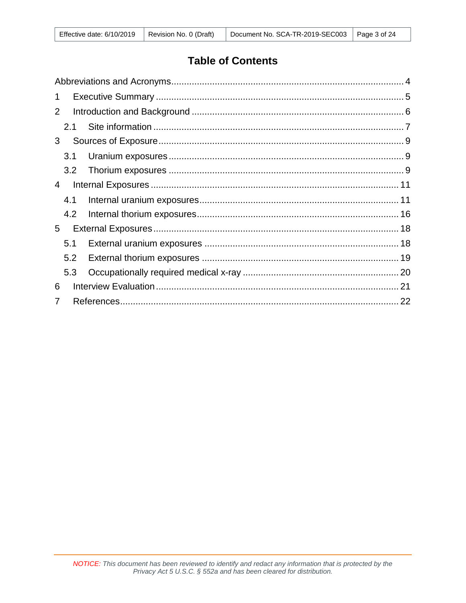# **Table of Contents**

| 1 |     |  |
|---|-----|--|
| 2 |     |  |
|   | 2.1 |  |
| 3 |     |  |
|   | 3.1 |  |
|   | 3.2 |  |
| 4 |     |  |
|   | 4.1 |  |
|   | 4.2 |  |
| 5 |     |  |
|   | 5.1 |  |
|   | 5.2 |  |
|   | 5.3 |  |
| 6 |     |  |
|   |     |  |
|   |     |  |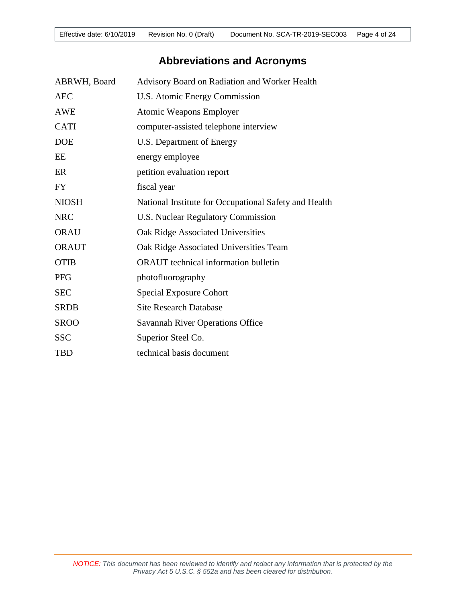| Effective date: $6/10/2019$   Revision No. 0 (Draft) |  | Document No. SCA-TR-2019-SEC003   Page 4 of 24 |  |
|------------------------------------------------------|--|------------------------------------------------|--|
|------------------------------------------------------|--|------------------------------------------------|--|

# **Abbreviations and Acronyms**

<span id="page-3-0"></span>

| ABRWH, Board | Advisory Board on Radiation and Worker Health         |
|--------------|-------------------------------------------------------|
| <b>AEC</b>   | U.S. Atomic Energy Commission                         |
| <b>AWE</b>   | <b>Atomic Weapons Employer</b>                        |
| <b>CATI</b>  | computer-assisted telephone interview                 |
| <b>DOE</b>   | U.S. Department of Energy                             |
| EE           | energy employee                                       |
| ER           | petition evaluation report                            |
| <b>FY</b>    | fiscal year                                           |
| <b>NIOSH</b> | National Institute for Occupational Safety and Health |
| <b>NRC</b>   | <b>U.S. Nuclear Regulatory Commission</b>             |
| <b>ORAU</b>  | Oak Ridge Associated Universities                     |
| <b>ORAUT</b> | Oak Ridge Associated Universities Team                |
| <b>OTIB</b>  | <b>ORAUT</b> technical information bulletin           |
| <b>PFG</b>   | photofluorography                                     |
| <b>SEC</b>   | Special Exposure Cohort                               |
| <b>SRDB</b>  | <b>Site Research Database</b>                         |
| <b>SROO</b>  | <b>Savannah River Operations Office</b>               |
| <b>SSC</b>   | Superior Steel Co.                                    |
| <b>TBD</b>   | technical basis document                              |
|              |                                                       |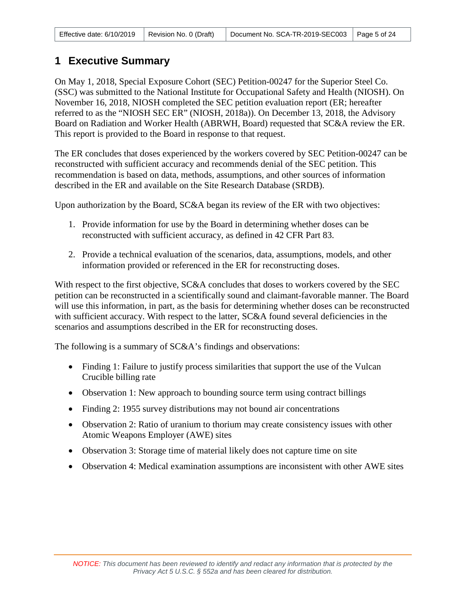|  |  | Effective date: 6/10/2019   Revision No. 0 (Draft)   Document No. SCA-TR-2019-SEC003   Page 5 of 24 |  |
|--|--|-----------------------------------------------------------------------------------------------------|--|
|--|--|-----------------------------------------------------------------------------------------------------|--|

## <span id="page-4-0"></span>**1 Executive Summary**

On May 1, 2018, Special Exposure Cohort (SEC) Petition-00247 for the Superior Steel Co. (SSC) was submitted to the National Institute for Occupational Safety and Health (NIOSH). On November 16, 2018, NIOSH completed the SEC petition evaluation report (ER; hereafter referred to as the "NIOSH SEC ER" (NIOSH, 2018a)). On December 13, 2018, the Advisory Board on Radiation and Worker Health (ABRWH, Board) requested that SC&A review the ER. This report is provided to the Board in response to that request.

The ER concludes that doses experienced by the workers covered by SEC Petition-00247 can be reconstructed with sufficient accuracy and recommends denial of the SEC petition. This recommendation is based on data, methods, assumptions, and other sources of information described in the ER and available on the Site Research Database (SRDB).

Upon authorization by the Board, SC&A began its review of the ER with two objectives:

- 1. Provide information for use by the Board in determining whether doses can be reconstructed with sufficient accuracy, as defined in 42 CFR Part 83.
- 2. Provide a technical evaluation of the scenarios, data, assumptions, models, and other information provided or referenced in the ER for reconstructing doses.

With respect to the first objective, SC&A concludes that doses to workers covered by the SEC petition can be reconstructed in a scientifically sound and claimant-favorable manner. The Board will use this information, in part, as the basis for determining whether doses can be reconstructed with sufficient accuracy. With respect to the latter, SC&A found several deficiencies in the scenarios and assumptions described in the ER for reconstructing doses.

The following is a summary of  $SC&A$ 's findings and observations:

- Finding 1: Failure to justify process similarities that support the use of the Vulcan Crucible billing rate
- Observation 1: New approach to bounding source term using contract billings
- Finding 2: 1955 survey distributions may not bound air concentrations
- Observation 2: Ratio of uranium to thorium may create consistency issues with other Atomic Weapons Employer (AWE) sites
- Observation 3: Storage time of material likely does not capture time on site
- Observation 4: Medical examination assumptions are inconsistent with other AWE sites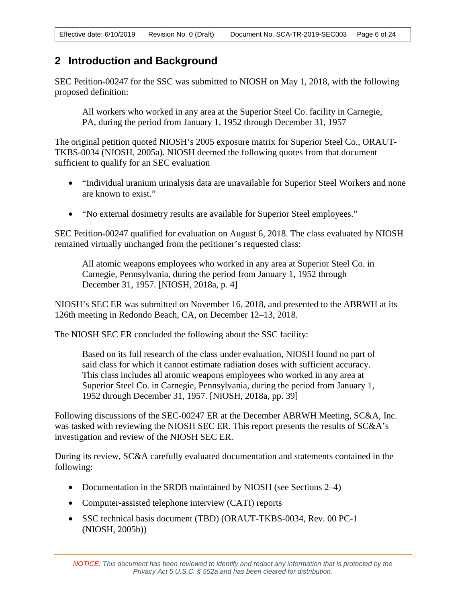# <span id="page-5-0"></span>**2 Introduction and Background**

SEC Petition-00247 for the SSC was submitted to NIOSH on May 1, 2018, with the following proposed definition:

All workers who worked in any area at the Superior Steel Co. facility in Carnegie, PA, during the period from January 1, 1952 through December 31, 1957

The original petition quoted NIOSH's 2005 exposure matrix for Superior Steel Co., ORAUT-TKBS-0034 (NIOSH, 2005a). NIOSH deemed the following quotes from that document sufficient to qualify for an SEC evaluation

- "Individual uranium urinalysis data are unavailable for Superior Steel Workers and none are known to exist."
- "No external dosimetry results are available for Superior Steel employees."

SEC Petition-00247 qualified for evaluation on August 6, 2018. The class evaluated by NIOSH remained virtually unchanged from the petitioner's requested class:

All atomic weapons employees who worked in any area at Superior Steel Co. in Carnegie, Pennsylvania, during the period from January 1, 1952 through December 31, 1957. [NIOSH, 2018a, p. 4]

NIOSH's SEC ER was submitted on November 16, 2018, and presented to the ABRWH at its 126th meeting in Redondo Beach, CA, on December 12–13, 2018.

The NIOSH SEC ER concluded the following about the SSC facility:

Based on its full research of the class under evaluation, NIOSH found no part of said class for which it cannot estimate radiation doses with sufficient accuracy. This class includes all atomic weapons employees who worked in any area at Superior Steel Co. in Carnegie, Pennsylvania, during the period from January 1, 1952 through December 31, 1957. [NIOSH, 2018a, pp. 39]

Following discussions of the SEC-00247 ER at the December ABRWH Meeting, SC&A, Inc. was tasked with reviewing the NIOSH SEC ER. This report presents the results of SC&A's investigation and review of the NIOSH SEC ER.

During its review, SC&A carefully evaluated documentation and statements contained in the following:

- Documentation in the SRDB maintained by NIOSH (see Sections 2–4)
- Computer-assisted telephone interview (CATI) reports
- SSC technical basis document (TBD) (ORAUT-TKBS-0034, Rev. 00 PC-1 (NIOSH, 2005b))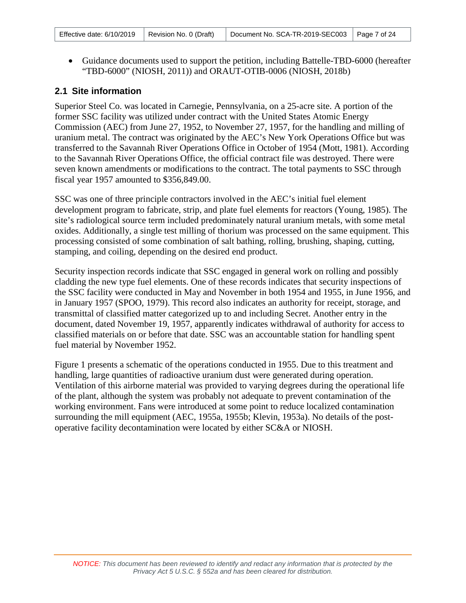• Guidance documents used to support the petition, including Battelle-TBD-6000 (hereafter "TBD-6000" (NIOSH, 2011)) and ORAUT-OTIB-0006 (NIOSH, 2018b)

### <span id="page-6-0"></span>**2.1 Site information**

Superior Steel Co. was located in Carnegie, Pennsylvania, on a 25-acre site. A portion of the former SSC facility was utilized under contract with the United States Atomic Energy Commission (AEC) from June 27, 1952, to November 27, 1957, for the handling and milling of uranium metal. The contract was originated by the AEC's New York Operations Office but was transferred to the Savannah River Operations Office in October of 1954 (Mott, 1981). According to the Savannah River Operations Office, the official contract file was destroyed. There were seven known amendments or modifications to the contract. The total payments to SSC through fiscal year 1957 amounted to \$356,849.00.

SSC was one of three principle contractors involved in the AEC's initial fuel element development program to fabricate, strip, and plate fuel elements for reactors (Young, 1985). The site's radiological source term included predominately natural uranium metals, with some metal oxides. Additionally, a single test milling of thorium was processed on the same equipment. This processing consisted of some combination of salt bathing, rolling, brushing, shaping, cutting, stamping, and coiling, depending on the desired end product.

Security inspection records indicate that SSC engaged in general work on rolling and possibly cladding the new type fuel elements. One of these records indicates that security inspections of the SSC facility were conducted in May and November in both 1954 and 1955, in June 1956, and in January 1957 (SPOO, 1979). This record also indicates an authority for receipt, storage, and transmittal of classified matter categorized up to and including Secret. Another entry in the document, dated November 19, 1957, apparently indicates withdrawal of authority for access to classified materials on or before that date. SSC was an accountable station for handling spent fuel material by November 1952.

Figure 1 presents a schematic of the operations conducted in 1955. Due to this treatment and handling, large quantities of radioactive uranium dust were generated during operation. Ventilation of this airborne material was provided to varying degrees during the operational life of the plant, although the system was probably not adequate to prevent contamination of the working environment. Fans were introduced at some point to reduce localized contamination surrounding the mill equipment (AEC, 1955a, 1955b; Klevin, 1953a). No details of the postoperative facility decontamination were located by either SC&A or NIOSH.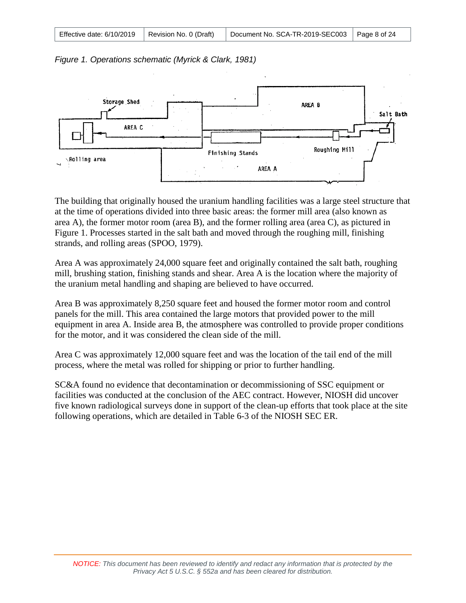| Effective date: $6/10/2019$   Revision No. 0 (Draft) |  | Document No. SCA-TR-2019-SEC003   Page 8 of 24 |  |
|------------------------------------------------------|--|------------------------------------------------|--|
|------------------------------------------------------|--|------------------------------------------------|--|





The building that originally housed the uranium handling facilities was a large steel structure that at the time of operations divided into three basic areas: the former mill area (also known as area A), the former motor room (area B), and the former rolling area (area C), as pictured in Figure 1. Processes started in the salt bath and moved through the roughing mill, finishing strands, and rolling areas (SPOO, 1979).

Area A was approximately 24,000 square feet and originally contained the salt bath, roughing mill, brushing station, finishing stands and shear. Area A is the location where the majority of the uranium metal handling and shaping are believed to have occurred.

Area B was approximately 8,250 square feet and housed the former motor room and control panels for the mill. This area contained the large motors that provided power to the mill equipment in area A. Inside area B, the atmosphere was controlled to provide proper conditions for the motor, and it was considered the clean side of the mill.

Area C was approximately 12,000 square feet and was the location of the tail end of the mill process, where the metal was rolled for shipping or prior to further handling.

SC&A found no evidence that decontamination or decommissioning of SSC equipment or facilities was conducted at the conclusion of the AEC contract. However, NIOSH did uncover five known radiological surveys done in support of the clean-up efforts that took place at the site following operations, which are detailed in Table 6-3 of the NIOSH SEC ER.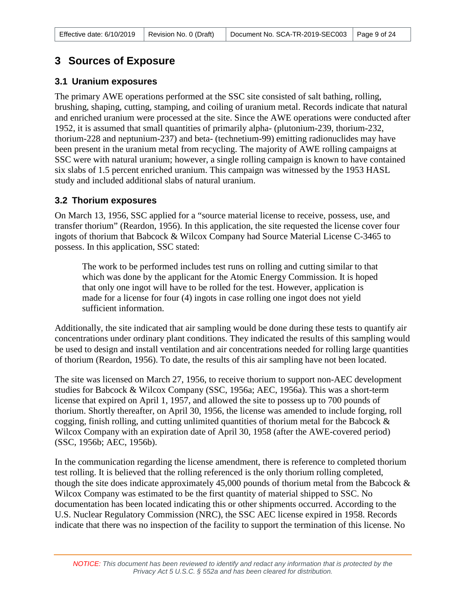## <span id="page-8-0"></span>**3 Sources of Exposure**

#### <span id="page-8-1"></span>**3.1 Uranium exposures**

The primary AWE operations performed at the SSC site consisted of salt bathing, rolling, brushing, shaping, cutting, stamping, and coiling of uranium metal. Records indicate that natural and enriched uranium were processed at the site. Since the AWE operations were conducted after 1952, it is assumed that small quantities of primarily alpha- (plutonium-239, thorium-232, thorium-228 and neptunium-237) and beta- (technetium-99) emitting radionuclides may have been present in the uranium metal from recycling. The majority of AWE rolling campaigns at SSC were with natural uranium; however, a single rolling campaign is known to have contained six slabs of 1.5 percent enriched uranium. This campaign was witnessed by the 1953 HASL study and included additional slabs of natural uranium.

#### <span id="page-8-2"></span>**3.2 Thorium exposures**

On March 13, 1956, SSC applied for a "source material license to receive, possess, use, and transfer thorium" (Reardon, 1956). In this application, the site requested the license cover four ingots of thorium that Babcock & Wilcox Company had Source Material License C-3465 to possess. In this application, SSC stated:

The work to be performed includes test runs on rolling and cutting similar to that which was done by the applicant for the Atomic Energy Commission. It is hoped that only one ingot will have to be rolled for the test. However, application is made for a license for four (4) ingots in case rolling one ingot does not yield sufficient information.

Additionally, the site indicated that air sampling would be done during these tests to quantify air concentrations under ordinary plant conditions. They indicated the results of this sampling would be used to design and install ventilation and air concentrations needed for rolling large quantities of thorium (Reardon, 1956). To date, the results of this air sampling have not been located.

The site was licensed on March 27, 1956, to receive thorium to support non-AEC development studies for Babcock & Wilcox Company (SSC, 1956a; AEC, 1956a). This was a short-term license that expired on April 1, 1957, and allowed the site to possess up to 700 pounds of thorium. Shortly thereafter, on April 30, 1956, the license was amended to include forging, roll cogging, finish rolling, and cutting unlimited quantities of thorium metal for the Babcock & Wilcox Company with an expiration date of April 30, 1958 (after the AWE-covered period) (SSC, 1956b; AEC, 1956b).

In the communication regarding the license amendment, there is reference to completed thorium test rolling. It is believed that the rolling referenced is the only thorium rolling completed, though the site does indicate approximately 45,000 pounds of thorium metal from the Babcock & Wilcox Company was estimated to be the first quantity of material shipped to SSC. No documentation has been located indicating this or other shipments occurred. According to the U.S. Nuclear Regulatory Commission (NRC), the SSC AEC license expired in 1958. Records indicate that there was no inspection of the facility to support the termination of this license. No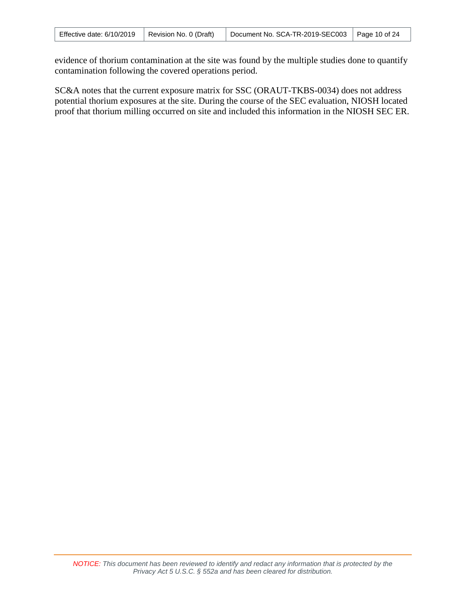| Effective date: 6/10/2019 | Revision No. 0 (Draft) | Document No. SCA-TR-2019-SEC003   Page 10 of 24 |  |
|---------------------------|------------------------|-------------------------------------------------|--|
|---------------------------|------------------------|-------------------------------------------------|--|

evidence of thorium contamination at the site was found by the multiple studies done to quantify contamination following the covered operations period.

SC&A notes that the current exposure matrix for SSC (ORAUT-TKBS-0034) does not address potential thorium exposures at the site. During the course of the SEC evaluation, NIOSH located proof that thorium milling occurred on site and included this information in the NIOSH SEC ER.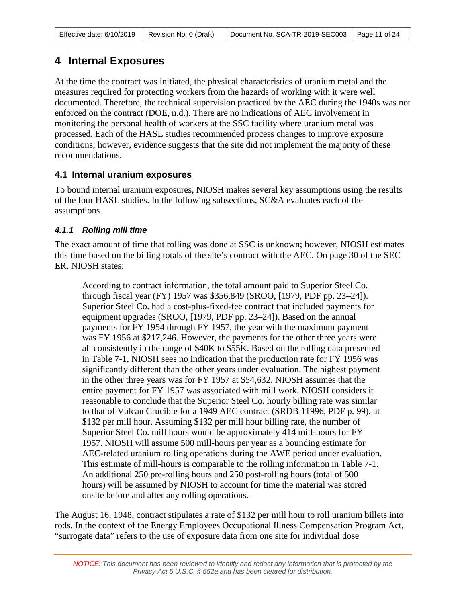| Effective date: $6/10/2019$   Revision No. 0 (Draft) |  | Document No. SCA-TR-2019-SEC003   Page 11 of 24 |  |
|------------------------------------------------------|--|-------------------------------------------------|--|
|------------------------------------------------------|--|-------------------------------------------------|--|

# <span id="page-10-0"></span>**4 Internal Exposures**

At the time the contract was initiated, the physical characteristics of uranium metal and the measures required for protecting workers from the hazards of working with it were well documented. Therefore, the technical supervision practiced by the AEC during the 1940s was not enforced on the contract (DOE, n.d.). There are no indications of AEC involvement in monitoring the personal health of workers at the SSC facility where uranium metal was processed. Each of the HASL studies recommended process changes to improve exposure conditions; however, evidence suggests that the site did not implement the majority of these recommendations.

### <span id="page-10-1"></span>**4.1 Internal uranium exposures**

To bound internal uranium exposures, NIOSH makes several key assumptions using the results of the four HASL studies. In the following subsections, SC&A evaluates each of the assumptions.

### *4.1.1 Rolling mill time*

The exact amount of time that rolling was done at SSC is unknown; however, NIOSH estimates this time based on the billing totals of the site's contract with the AEC. On page 30 of the SEC ER, NIOSH states:

According to contract information, the total amount paid to Superior Steel Co. through fiscal year (FY) 1957 was \$356,849 (SROO, [1979, PDF pp. 23–24]). Superior Steel Co. had a cost-plus-fixed-fee contract that included payments for equipment upgrades (SROO, [1979, PDF pp. 23–24]). Based on the annual payments for FY 1954 through FY 1957, the year with the maximum payment was FY 1956 at \$217,246. However, the payments for the other three years were all consistently in the range of \$40K to \$55K. Based on the rolling data presented in Table 7-1, NIOSH sees no indication that the production rate for FY 1956 was significantly different than the other years under evaluation. The highest payment in the other three years was for FY 1957 at \$54,632. NIOSH assumes that the entire payment for FY 1957 was associated with mill work. NIOSH considers it reasonable to conclude that the Superior Steel Co. hourly billing rate was similar to that of Vulcan Crucible for a 1949 AEC contract (SRDB 11996, PDF p. 99), at \$132 per mill hour. Assuming \$132 per mill hour billing rate, the number of Superior Steel Co. mill hours would be approximately 414 mill-hours for FY 1957. NIOSH will assume 500 mill-hours per year as a bounding estimate for AEC-related uranium rolling operations during the AWE period under evaluation. This estimate of mill-hours is comparable to the rolling information in Table 7-1. An additional 250 pre-rolling hours and 250 post-rolling hours (total of 500 hours) will be assumed by NIOSH to account for time the material was stored onsite before and after any rolling operations.

The August 16, 1948, contract stipulates a rate of \$132 per mill hour to roll uranium billets into rods. In the context of the Energy Employees Occupational Illness Compensation Program Act, "surrogate data" refers to the use of exposure data from one site for individual dose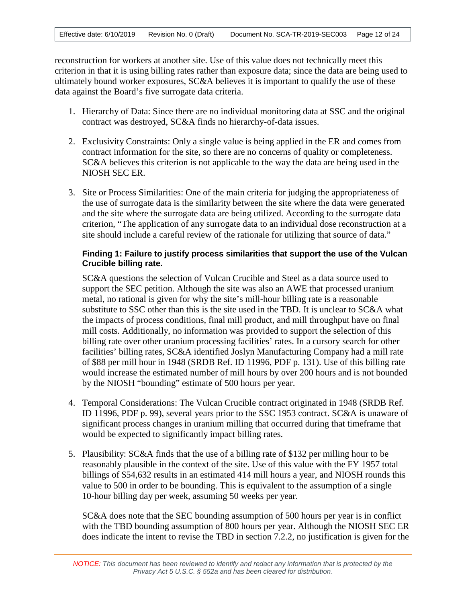| Effective date: $6/10/2019$   Revision No. 0 (Draft) |  | Document No. SCA-TR-2019-SEC003 Page 12 of 24 |  |
|------------------------------------------------------|--|-----------------------------------------------|--|
|------------------------------------------------------|--|-----------------------------------------------|--|

reconstruction for workers at another site. Use of this value does not technically meet this criterion in that it is using billing rates rather than exposure data; since the data are being used to ultimately bound worker exposures, SC&A believes it is important to qualify the use of these data against the Board's five surrogate data criteria.

- 1. Hierarchy of Data: Since there are no individual monitoring data at SSC and the original contract was destroyed, SC&A finds no hierarchy-of-data issues.
- 2. Exclusivity Constraints: Only a single value is being applied in the ER and comes from contract information for the site, so there are no concerns of quality or completeness. SC&A believes this criterion is not applicable to the way the data are being used in the NIOSH SEC ER.
- 3. Site or Process Similarities: One of the main criteria for judging the appropriateness of the use of surrogate data is the similarity between the site where the data were generated and the site where the surrogate data are being utilized. According to the surrogate data criterion, "The application of any surrogate data to an individual dose reconstruction at a site should include a careful review of the rationale for utilizing that source of data."

#### **Finding 1: Failure to justify process similarities that support the use of the Vulcan Crucible billing rate.**

SC&A questions the selection of Vulcan Crucible and Steel as a data source used to support the SEC petition. Although the site was also an AWE that processed uranium metal, no rational is given for why the site's mill-hour billing rate is a reasonable substitute to SSC other than this is the site used in the TBD. It is unclear to SC&A what the impacts of process conditions, final mill product, and mill throughput have on final mill costs. Additionally, no information was provided to support the selection of this billing rate over other uranium processing facilities' rates. In a cursory search for other facilities' billing rates, SC&A identified Joslyn Manufacturing Company had a mill rate of \$88 per mill hour in 1948 (SRDB Ref. ID 11996, PDF p. 131). Use of this billing rate would increase the estimated number of mill hours by over 200 hours and is not bounded by the NIOSH "bounding" estimate of 500 hours per year.

- 4. Temporal Considerations: The Vulcan Crucible contract originated in 1948 (SRDB Ref. ID 11996, PDF p. 99), several years prior to the SSC 1953 contract. SC&A is unaware of significant process changes in uranium milling that occurred during that timeframe that would be expected to significantly impact billing rates.
- 5. Plausibility: SC&A finds that the use of a billing rate of \$132 per milling hour to be reasonably plausible in the context of the site. Use of this value with the FY 1957 total billings of \$54,632 results in an estimated 414 mill hours a year, and NIOSH rounds this value to 500 in order to be bounding. This is equivalent to the assumption of a single 10-hour billing day per week, assuming 50 weeks per year.

SC&A does note that the SEC bounding assumption of 500 hours per year is in conflict with the TBD bounding assumption of 800 hours per year. Although the NIOSH SEC ER does indicate the intent to revise the TBD in section 7.2.2, no justification is given for the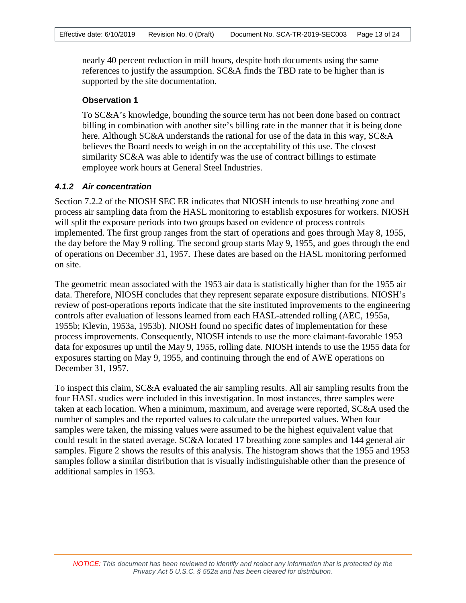nearly 40 percent reduction in mill hours, despite both documents using the same references to justify the assumption. SC&A finds the TBD rate to be higher than is supported by the site documentation.

#### **Observation 1**

To SC&A's knowledge, bounding the source term has not been done based on contract billing in combination with another site's billing rate in the manner that it is being done here. Although SC&A understands the rational for use of the data in this way, SC&A believes the Board needs to weigh in on the acceptability of this use. The closest similarity SC&A was able to identify was the use of contract billings to estimate employee work hours at General Steel Industries.

#### *4.1.2 Air concentration*

Section 7.2.2 of the NIOSH SEC ER indicates that NIOSH intends to use breathing zone and process air sampling data from the HASL monitoring to establish exposures for workers. NIOSH will split the exposure periods into two groups based on evidence of process controls implemented. The first group ranges from the start of operations and goes through May 8, 1955, the day before the May 9 rolling. The second group starts May 9, 1955, and goes through the end of operations on December 31, 1957. These dates are based on the HASL monitoring performed on site.

The geometric mean associated with the 1953 air data is statistically higher than for the 1955 air data. Therefore, NIOSH concludes that they represent separate exposure distributions. NIOSH's review of post-operations reports indicate that the site instituted improvements to the engineering controls after evaluation of lessons learned from each HASL-attended rolling (AEC, 1955a, 1955b; Klevin, 1953a, 1953b). NIOSH found no specific dates of implementation for these process improvements. Consequently, NIOSH intends to use the more claimant-favorable 1953 data for exposures up until the May 9, 1955, rolling date. NIOSH intends to use the 1955 data for exposures starting on May 9, 1955, and continuing through the end of AWE operations on December 31, 1957.

To inspect this claim, SC&A evaluated the air sampling results. All air sampling results from the four HASL studies were included in this investigation. In most instances, three samples were taken at each location. When a minimum, maximum, and average were reported, SC&A used the number of samples and the reported values to calculate the unreported values. When four samples were taken, the missing values were assumed to be the highest equivalent value that could result in the stated average. SC&A located 17 breathing zone samples and 144 general air samples. Figure 2 shows the results of this analysis. The histogram shows that the 1955 and 1953 samples follow a similar distribution that is visually indistinguishable other than the presence of additional samples in 1953.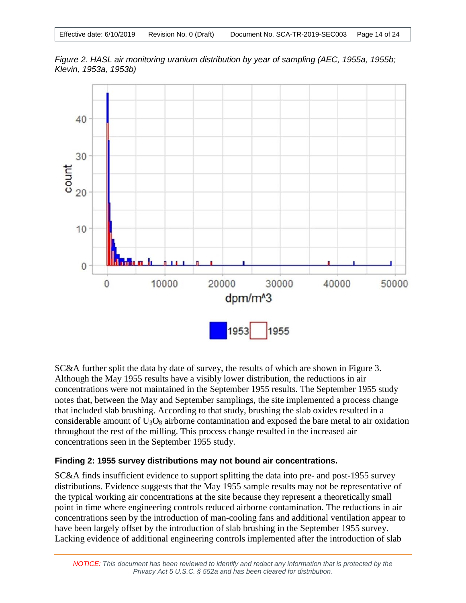| Effective date: $6/10/2019$   Revision No. 0 (Draft) | Document No. SCA-TR-2019-SEC003   Page 14 of 24 |  |
|------------------------------------------------------|-------------------------------------------------|--|
|------------------------------------------------------|-------------------------------------------------|--|

*Figure 2. HASL air monitoring uranium distribution by year of sampling (AEC, 1955a, 1955b; Klevin, 1953a, 1953b)*



SC&A further split the data by date of survey, the results of which are shown in Figure 3. Although the May 1955 results have a visibly lower distribution, the reductions in air concentrations were not maintained in the September 1955 results. The September 1955 study notes that, between the May and September samplings, the site implemented a process change that included slab brushing. According to that study, brushing the slab oxides resulted in a considerable amount of  $U_3O_8$  airborne contamination and exposed the bare metal to air oxidation throughout the rest of the milling. This process change resulted in the increased air concentrations seen in the September 1955 study.

### **Finding 2: 1955 survey distributions may not bound air concentrations.**

SC&A finds insufficient evidence to support splitting the data into pre- and post-1955 survey distributions. Evidence suggests that the May 1955 sample results may not be representative of the typical working air concentrations at the site because they represent a theoretically small point in time where engineering controls reduced airborne contamination. The reductions in air concentrations seen by the introduction of man-cooling fans and additional ventilation appear to have been largely offset by the introduction of slab brushing in the September 1955 survey. Lacking evidence of additional engineering controls implemented after the introduction of slab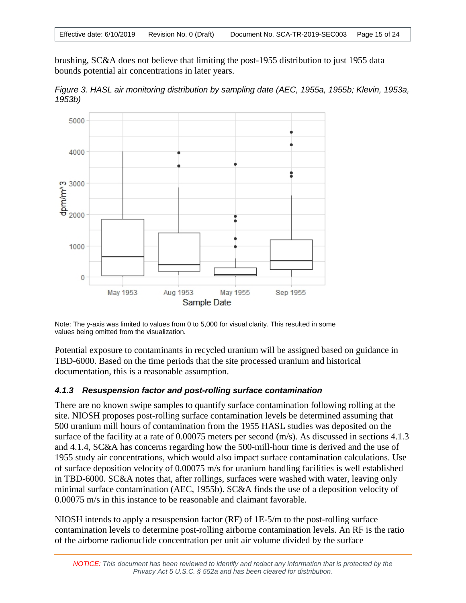| Effective date: 6/10/2019   Revision No. 0 (Draft) |  | Document No. SCA-TR-2019-SEC003   Page 15 of 24 |  |
|----------------------------------------------------|--|-------------------------------------------------|--|
|----------------------------------------------------|--|-------------------------------------------------|--|

brushing, SC&A does not believe that limiting the post-1955 distribution to just 1955 data bounds potential air concentrations in later years.

*Figure 3. HASL air monitoring distribution by sampling date (AEC, 1955a, 1955b; Klevin, 1953a, 1953b)*



Note: The y-axis was limited to values from 0 to 5,000 for visual clarity. This resulted in some values being omitted from the visualization.

Potential exposure to contaminants in recycled uranium will be assigned based on guidance in TBD-6000. Based on the time periods that the site processed uranium and historical documentation, this is a reasonable assumption.

### *4.1.3 Resuspension factor and post-rolling surface contamination*

There are no known swipe samples to quantify surface contamination following rolling at the site. NIOSH proposes post-rolling surface contamination levels be determined assuming that 500 uranium mill hours of contamination from the 1955 HASL studies was deposited on the surface of the facility at a rate of 0.00075 meters per second (m/s). As discussed in sections 4.1.3 and 4.1.4, SC&A has concerns regarding how the 500-mill-hour time is derived and the use of 1955 study air concentrations, which would also impact surface contamination calculations. Use of surface deposition velocity of 0.00075 m/s for uranium handling facilities is well established in TBD-6000. SC&A notes that, after rollings, surfaces were washed with water, leaving only minimal surface contamination (AEC, 1955b). SC&A finds the use of a deposition velocity of 0.00075 m/s in this instance to be reasonable and claimant favorable.

NIOSH intends to apply a resuspension factor (RF) of 1E-5/m to the post-rolling surface contamination levels to determine post-rolling airborne contamination levels. An RF is the ratio of the airborne radionuclide concentration per unit air volume divided by the surface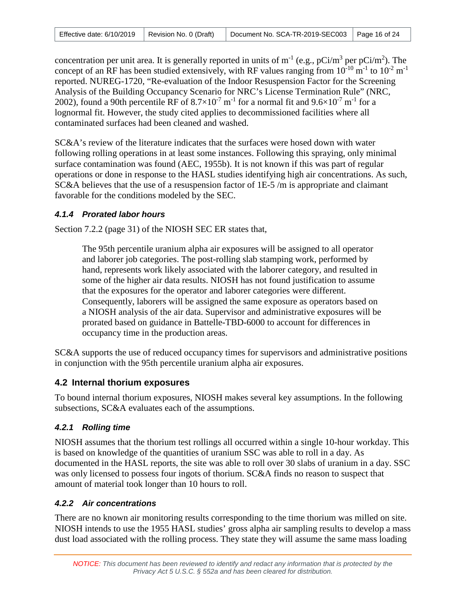|  | Effective date: $6/10/2019$   Revision No. 0 (Draft) |  | Document No. SCA-TR-2019-SEC003 Page 16 of 24 |  |
|--|------------------------------------------------------|--|-----------------------------------------------|--|
|--|------------------------------------------------------|--|-----------------------------------------------|--|

concentration per unit area. It is generally reported in units of  $m^{-1}$  (e.g., pCi/m<sup>3</sup> per pCi/m<sup>2</sup>). The concept of an RF has been studied extensively, with RF values ranging from  $10^{-10}$  m<sup>-1</sup> to  $10^{-2}$  m<sup>-1</sup> reported. NUREG-1720, "Re-evaluation of the Indoor Resuspension Factor for the Screening Analysis of the Building Occupancy Scenario for NRC's License Termination Rule" (NRC, 2002), found a 90th percentile RF of  $8.7\times10^{-7}$  m<sup>-1</sup> for a normal fit and  $9.6\times10^{-7}$  m<sup>-1</sup> for a lognormal fit. However, the study cited applies to decommissioned facilities where all contaminated surfaces had been cleaned and washed.

SC&A's review of the literature indicates that the surfaces were hosed down with water following rolling operations in at least some instances. Following this spraying, only minimal surface contamination was found (AEC, 1955b). It is not known if this was part of regular operations or done in response to the HASL studies identifying high air concentrations. As such, SC&A believes that the use of a resuspension factor of 1E-5 /m is appropriate and claimant favorable for the conditions modeled by the SEC.

### *4.1.4 Prorated labor hours*

Section 7.2.2 (page 31) of the NIOSH SEC ER states that,

The 95th percentile uranium alpha air exposures will be assigned to all operator and laborer job categories. The post-rolling slab stamping work, performed by hand, represents work likely associated with the laborer category, and resulted in some of the higher air data results. NIOSH has not found justification to assume that the exposures for the operator and laborer categories were different. Consequently, laborers will be assigned the same exposure as operators based on a NIOSH analysis of the air data. Supervisor and administrative exposures will be prorated based on guidance in Battelle-TBD-6000 to account for differences in occupancy time in the production areas.

SC&A supports the use of reduced occupancy times for supervisors and administrative positions in conjunction with the 95th percentile uranium alpha air exposures.

### <span id="page-15-0"></span>**4.2 Internal thorium exposures**

To bound internal thorium exposures, NIOSH makes several key assumptions. In the following subsections, SC&A evaluates each of the assumptions.

### *4.2.1 Rolling time*

NIOSH assumes that the thorium test rollings all occurred within a single 10-hour workday. This is based on knowledge of the quantities of uranium SSC was able to roll in a day. As documented in the HASL reports, the site was able to roll over 30 slabs of uranium in a day. SSC was only licensed to possess four ingots of thorium. SC&A finds no reason to suspect that amount of material took longer than 10 hours to roll.

### *4.2.2 Air concentrations*

There are no known air monitoring results corresponding to the time thorium was milled on site. NIOSH intends to use the 1955 HASL studies' gross alpha air sampling results to develop a mass dust load associated with the rolling process. They state they will assume the same mass loading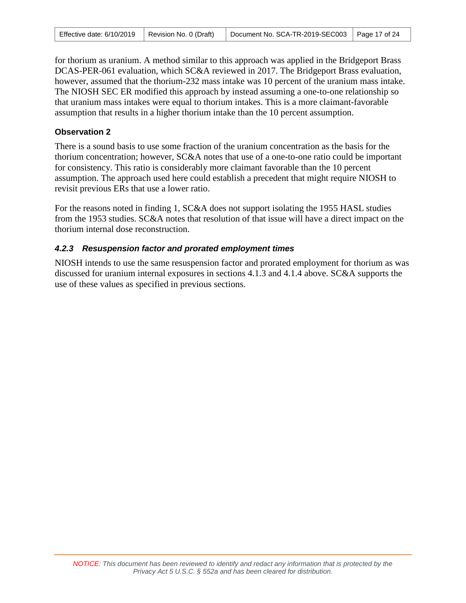| Effective date: 6/10/2019 | Revision No. 0 (Draft) | Document No. SCA-TR-2019-SEC003   Page 17 of 24 |  |
|---------------------------|------------------------|-------------------------------------------------|--|
|---------------------------|------------------------|-------------------------------------------------|--|

for thorium as uranium. A method similar to this approach was applied in the Bridgeport Brass DCAS-PER-061 evaluation, which SC&A reviewed in 2017. The Bridgeport Brass evaluation, however, assumed that the thorium-232 mass intake was 10 percent of the uranium mass intake. The NIOSH SEC ER modified this approach by instead assuming a one-to-one relationship so that uranium mass intakes were equal to thorium intakes. This is a more claimant-favorable assumption that results in a higher thorium intake than the 10 percent assumption.

#### **Observation 2**

There is a sound basis to use some fraction of the uranium concentration as the basis for the thorium concentration; however, SC&A notes that use of a one-to-one ratio could be important for consistency. This ratio is considerably more claimant favorable than the 10 percent assumption. The approach used here could establish a precedent that might require NIOSH to revisit previous ERs that use a lower ratio.

For the reasons noted in finding 1, SC&A does not support isolating the 1955 HASL studies from the 1953 studies. SC&A notes that resolution of that issue will have a direct impact on the thorium internal dose reconstruction.

#### *4.2.3 Resuspension factor and prorated employment times*

NIOSH intends to use the same resuspension factor and prorated employment for thorium as was discussed for uranium internal exposures in sections 4.1.3 and 4.1.4 above. SC&A supports the use of these values as specified in previous sections.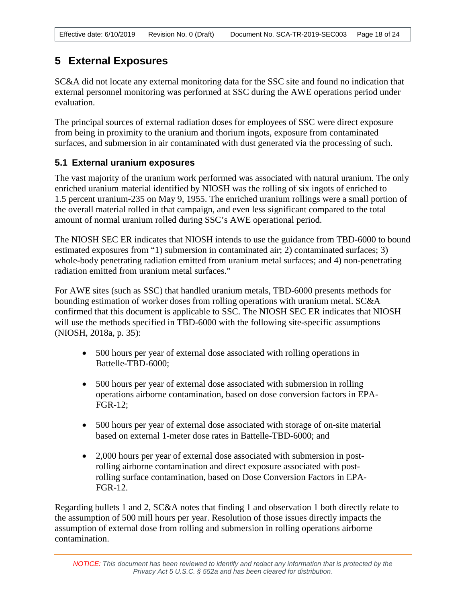# <span id="page-17-0"></span>**5 External Exposures**

SC&A did not locate any external monitoring data for the SSC site and found no indication that external personnel monitoring was performed at SSC during the AWE operations period under evaluation.

The principal sources of external radiation doses for employees of SSC were direct exposure from being in proximity to the uranium and thorium ingots, exposure from contaminated surfaces, and submersion in air contaminated with dust generated via the processing of such.

### <span id="page-17-1"></span>**5.1 External uranium exposures**

The vast majority of the uranium work performed was associated with natural uranium. The only enriched uranium material identified by NIOSH was the rolling of six ingots of enriched to 1.5 percent uranium-235 on May 9, 1955. The enriched uranium rollings were a small portion of the overall material rolled in that campaign, and even less significant compared to the total amount of normal uranium rolled during SSC's AWE operational period.

The NIOSH SEC ER indicates that NIOSH intends to use the guidance from TBD-6000 to bound estimated exposures from "1) submersion in contaminated air; 2) contaminated surfaces; 3) whole-body penetrating radiation emitted from uranium metal surfaces; and 4) non-penetrating radiation emitted from uranium metal surfaces."

For AWE sites (such as SSC) that handled uranium metals, TBD-6000 presents methods for bounding estimation of worker doses from rolling operations with uranium metal. SC&A confirmed that this document is applicable to SSC. The NIOSH SEC ER indicates that NIOSH will use the methods specified in TBD-6000 with the following site-specific assumptions (NIOSH, 2018a, p. 35):

- 500 hours per year of external dose associated with rolling operations in Battelle-TBD-6000;
- 500 hours per year of external dose associated with submersion in rolling operations airborne contamination, based on dose conversion factors in EPA-FGR-12;
- 500 hours per year of external dose associated with storage of on-site material based on external 1-meter dose rates in Battelle-TBD-6000; and
- 2,000 hours per year of external dose associated with submersion in postrolling airborne contamination and direct exposure associated with postrolling surface contamination, based on Dose Conversion Factors in EPA-FGR-12.

Regarding bullets 1 and 2, SC&A notes that finding 1 and observation 1 both directly relate to the assumption of 500 mill hours per year. Resolution of those issues directly impacts the assumption of external dose from rolling and submersion in rolling operations airborne contamination.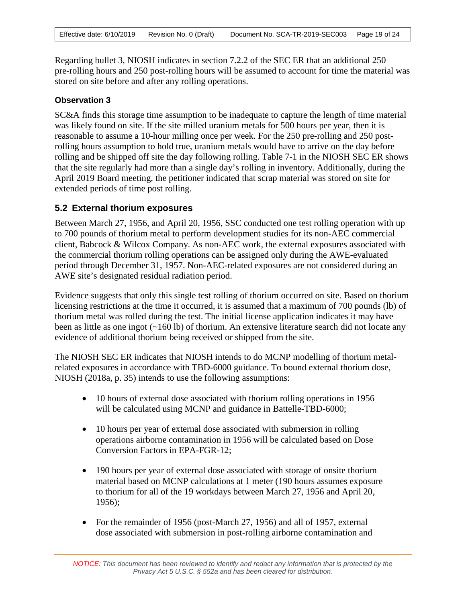Regarding bullet 3, NIOSH indicates in section 7.2.2 of the SEC ER that an additional 250 pre-rolling hours and 250 post-rolling hours will be assumed to account for time the material was stored on site before and after any rolling operations.

#### **Observation 3**

SC&A finds this storage time assumption to be inadequate to capture the length of time material was likely found on site. If the site milled uranium metals for 500 hours per year, then it is reasonable to assume a 10-hour milling once per week. For the 250 pre-rolling and 250 postrolling hours assumption to hold true, uranium metals would have to arrive on the day before rolling and be shipped off site the day following rolling. Table 7-1 in the NIOSH SEC ER shows that the site regularly had more than a single day's rolling in inventory. Additionally, during the April 2019 Board meeting, the petitioner indicated that scrap material was stored on site for extended periods of time post rolling.

### <span id="page-18-0"></span>**5.2 External thorium exposures**

Between March 27, 1956, and April 20, 1956, SSC conducted one test rolling operation with up to 700 pounds of thorium metal to perform development studies for its non-AEC commercial client, Babcock & Wilcox Company. As non-AEC work, the external exposures associated with the commercial thorium rolling operations can be assigned only during the AWE-evaluated period through December 31, 1957. Non-AEC-related exposures are not considered during an AWE site's designated residual radiation period.

Evidence suggests that only this single test rolling of thorium occurred on site. Based on thorium licensing restrictions at the time it occurred, it is assumed that a maximum of 700 pounds (lb) of thorium metal was rolled during the test. The initial license application indicates it may have been as little as one ingot (~160 lb) of thorium. An extensive literature search did not locate any evidence of additional thorium being received or shipped from the site.

The NIOSH SEC ER indicates that NIOSH intends to do MCNP modelling of thorium metalrelated exposures in accordance with TBD-6000 guidance. To bound external thorium dose, NIOSH (2018a, p. 35) intends to use the following assumptions:

- 10 hours of external dose associated with thorium rolling operations in 1956 will be calculated using MCNP and guidance in Battelle-TBD-6000;
- 10 hours per year of external dose associated with submersion in rolling operations airborne contamination in 1956 will be calculated based on Dose Conversion Factors in EPA-FGR-12;
- 190 hours per year of external dose associated with storage of onsite thorium material based on MCNP calculations at 1 meter (190 hours assumes exposure to thorium for all of the 19 workdays between March 27, 1956 and April 20, 1956);
- For the remainder of 1956 (post-March 27, 1956) and all of 1957, external dose associated with submersion in post-rolling airborne contamination and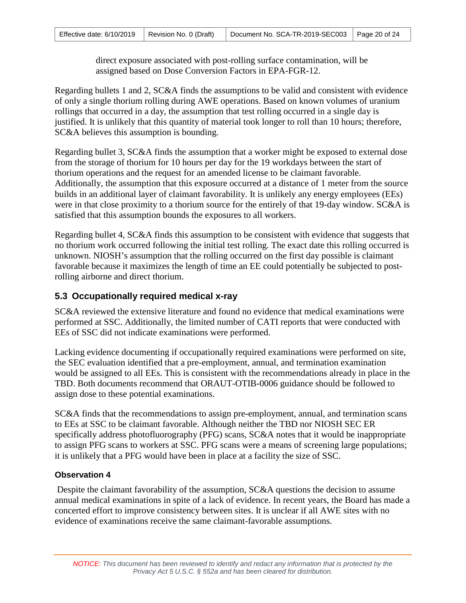direct exposure associated with post-rolling surface contamination, will be assigned based on Dose Conversion Factors in EPA-FGR-12.

Regarding bullets 1 and 2, SC&A finds the assumptions to be valid and consistent with evidence of only a single thorium rolling during AWE operations. Based on known volumes of uranium rollings that occurred in a day, the assumption that test rolling occurred in a single day is justified. It is unlikely that this quantity of material took longer to roll than 10 hours; therefore, SC&A believes this assumption is bounding.

Regarding bullet 3, SC&A finds the assumption that a worker might be exposed to external dose from the storage of thorium for 10 hours per day for the 19 workdays between the start of thorium operations and the request for an amended license to be claimant favorable. Additionally, the assumption that this exposure occurred at a distance of 1 meter from the source builds in an additional layer of claimant favorability. It is unlikely any energy employees (EEs) were in that close proximity to a thorium source for the entirely of that 19-day window. SC&A is satisfied that this assumption bounds the exposures to all workers.

Regarding bullet 4, SC&A finds this assumption to be consistent with evidence that suggests that no thorium work occurred following the initial test rolling. The exact date this rolling occurred is unknown. NIOSH's assumption that the rolling occurred on the first day possible is claimant favorable because it maximizes the length of time an EE could potentially be subjected to postrolling airborne and direct thorium.

### <span id="page-19-0"></span>**5.3 Occupationally required medical x-ray**

SC&A reviewed the extensive literature and found no evidence that medical examinations were performed at SSC. Additionally, the limited number of CATI reports that were conducted with EEs of SSC did not indicate examinations were performed.

Lacking evidence documenting if occupationally required examinations were performed on site, the SEC evaluation identified that a pre-employment, annual, and termination examination would be assigned to all EEs. This is consistent with the recommendations already in place in the TBD. Both documents recommend that ORAUT-OTIB-0006 guidance should be followed to assign dose to these potential examinations.

SC&A finds that the recommendations to assign pre-employment, annual, and termination scans to EEs at SSC to be claimant favorable. Although neither the TBD nor NIOSH SEC ER specifically address photofluorography (PFG) scans, SC&A notes that it would be inappropriate to assign PFG scans to workers at SSC. PFG scans were a means of screening large populations; it is unlikely that a PFG would have been in place at a facility the size of SSC.

### **Observation 4**

 Despite the claimant favorability of the assumption, SC&A questions the decision to assume annual medical examinations in spite of a lack of evidence. In recent years, the Board has made a concerted effort to improve consistency between sites. It is unclear if all AWE sites with no evidence of examinations receive the same claimant-favorable assumptions.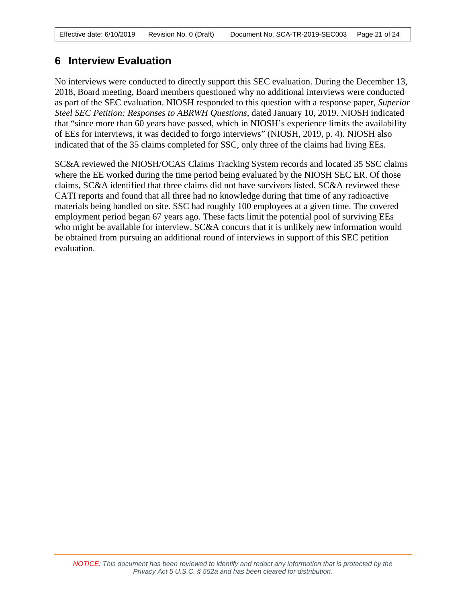# <span id="page-20-0"></span>**6 Interview Evaluation**

No interviews were conducted to directly support this SEC evaluation. During the December 13, 2018, Board meeting, Board members questioned why no additional interviews were conducted as part of the SEC evaluation. NIOSH responded to this question with a response paper, *Superior Steel SEC Petition: Responses to ABRWH Questions*, dated January 10, 2019. NIOSH indicated that "since more than 60 years have passed, which in NIOSH's experience limits the availability of EEs for interviews, it was decided to forgo interviews" (NIOSH, 2019, p. 4). NIOSH also indicated that of the 35 claims completed for SSC, only three of the claims had living EEs.

SC&A reviewed the NIOSH/OCAS Claims Tracking System records and located 35 SSC claims where the EE worked during the time period being evaluated by the NIOSH SEC ER. Of those claims, SC&A identified that three claims did not have survivors listed. SC&A reviewed these CATI reports and found that all three had no knowledge during that time of any radioactive materials being handled on site. SSC had roughly 100 employees at a given time. The covered employment period began 67 years ago. These facts limit the potential pool of surviving EEs who might be available for interview. SC&A concurs that it is unlikely new information would be obtained from pursuing an additional round of interviews in support of this SEC petition evaluation.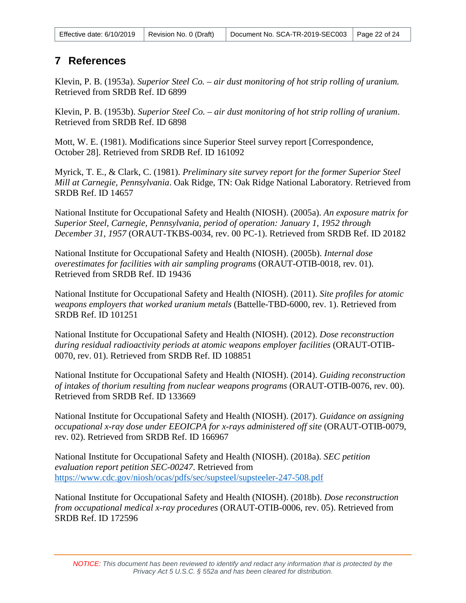| Effective date: $6/10/2019$   Revision No. 0 (Draft) |  | Document No. SCA-TR-2019-SEC003   Page 22 of 24 |  |  |
|------------------------------------------------------|--|-------------------------------------------------|--|--|
|------------------------------------------------------|--|-------------------------------------------------|--|--|

## <span id="page-21-0"></span>**7 References**

Klevin, P. B. (1953a). *Superior Steel Co. – air dust monitoring of hot strip rolling of uranium.* Retrieved from SRDB Ref. ID 6899

Klevin, P. B. (1953b). *Superior Steel Co. – air dust monitoring of hot strip rolling of uranium*. Retrieved from SRDB Ref. ID 6898

Mott, W. E. (1981). Modifications since Superior Steel survey report [Correspondence, October 28]. Retrieved from SRDB Ref. ID 161092

Myrick, T. E., & Clark, C. (1981). *Preliminary site survey report for the former Superior Steel Mill at Carnegie, Pennsylvania*. Oak Ridge, TN: Oak Ridge National Laboratory. Retrieved from SRDB Ref. ID 14657

National Institute for Occupational Safety and Health (NIOSH). (2005a). *An exposure matrix for Superior Steel, Carnegie, Pennsylvania, period of operation: January 1, 1952 through December 31, 1957* (ORAUT-TKBS-0034, rev. 00 PC-1). Retrieved from SRDB Ref. ID 20182

National Institute for Occupational Safety and Health (NIOSH). (2005b). *Internal dose overestimates for facilities with air sampling programs* (ORAUT-OTIB-0018, rev. 01). Retrieved from SRDB Ref. ID 19436

National Institute for Occupational Safety and Health (NIOSH). (2011). *Site profiles for atomic weapons employers that worked uranium metals* (Battelle-TBD-6000, rev. 1). Retrieved from SRDB Ref. ID 101251

National Institute for Occupational Safety and Health (NIOSH). (2012). *Dose reconstruction during residual radioactivity periods at atomic weapons employer facilities* (ORAUT-OTIB-0070, rev. 01). Retrieved from SRDB Ref. ID 108851

National Institute for Occupational Safety and Health (NIOSH). (2014). *Guiding reconstruction of intakes of thorium resulting from nuclear weapons programs* (ORAUT-OTIB-0076, rev. 00). Retrieved from SRDB Ref. ID 133669

National Institute for Occupational Safety and Health (NIOSH). (2017). *Guidance on assigning occupational x-ray dose under EEOICPA for x-rays administered off site* (ORAUT-OTIB-0079, rev. 02). Retrieved from SRDB Ref. ID 166967

National Institute for Occupational Safety and Health (NIOSH). (2018a). *SEC petition evaluation report petition SEC-00247*. Retrieved from https://www.cdc.gov/niosh/ocas/pdfs/sec/supsteel/supsteeler-247-508.pdf

National Institute for Occupational Safety and Health (NIOSH). (2018b). *Dose reconstruction from occupational medical x-ray procedures* (ORAUT-OTIB-0006, rev. 05). Retrieved from SRDB Ref. ID 172596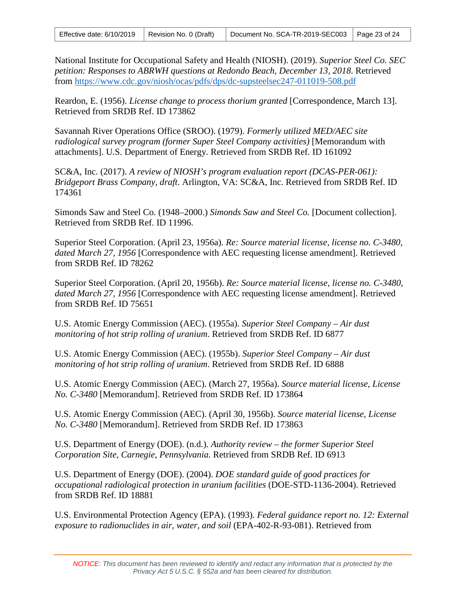| Effective date: $6/10/2019$   Revision No. 0 (Draft) |  | $\mid$ Document No. SCA-TR-2019-SEC003 $\mid$ Page 23 of 24 |  |
|------------------------------------------------------|--|-------------------------------------------------------------|--|
|------------------------------------------------------|--|-------------------------------------------------------------|--|

National Institute for Occupational Safety and Health (NIOSH). (2019). *Superior Steel Co. SEC petition: Responses to ABRWH questions at Redondo Beach, December 13, 2018*. Retrieved from<https://www.cdc.gov/niosh/ocas/pdfs/dps/dc-supsteelsec247-011019-508.pdf>

Reardon, E. (1956). *License change to process thorium granted* [Correspondence, March 13]. Retrieved from SRDB Ref. ID 173862

Savannah River Operations Office (SROO). (1979). *Formerly utilized MED/AEC site radiological survey program (former Super Steel Company activities)* [Memorandum with attachments]. U.S. Department of Energy. Retrieved from SRDB Ref. ID 161092

SC&A, Inc. (2017). *A review of NIOSH's program evaluation report (DCAS-PER-061): Bridgeport Brass Company, draft*. Arlington, VA: SC&A, Inc. Retrieved from SRDB Ref. ID 174361

Simonds Saw and Steel Co. (1948–2000.) *Simonds Saw and Steel Co.* [Document collection]. Retrieved from SRDB Ref. ID 11996.

Superior Steel Corporation. (April 23, 1956a). *Re: Source material license, license no. C-3480, dated March 27, 1956* [Correspondence with AEC requesting license amendment]. Retrieved from SRDB Ref. ID 78262

Superior Steel Corporation. (April 20, 1956b). *Re: Source material license, license no. C-3480, dated March 27, 1956* [Correspondence with AEC requesting license amendment]. Retrieved from SRDB Ref. ID 75651

U.S. Atomic Energy Commission (AEC). (1955a). *Superior Steel Company – Air dust monitoring of hot strip rolling of uranium*. Retrieved from SRDB Ref. ID 6877

U.S. Atomic Energy Commission (AEC). (1955b). *Superior Steel Company – Air dust monitoring of hot strip rolling of uranium*. Retrieved from SRDB Ref. ID 6888

U.S. Atomic Energy Commission (AEC). (March 27, 1956a). *Source material license, License No. C-3480* [Memorandum]. Retrieved from SRDB Ref. ID 173864

U.S. Atomic Energy Commission (AEC). (April 30, 1956b). *Source material license, License No. C-3480* [Memorandum]. Retrieved from SRDB Ref. ID 173863

U.S. Department of Energy (DOE). (n.d.). *Authority review – the former Superior Steel Corporation Site, Carnegie, Pennsylvania.* Retrieved from SRDB Ref. ID 6913

U.S. Department of Energy (DOE). (2004). *DOE standard guide of good practices for occupational radiological protection in uranium facilities* (DOE-STD-1136-2004). Retrieved from SRDB Ref. ID 18881

U.S. Environmental Protection Agency (EPA). (1993). *Federal guidance report no. 12: External exposure to radionuclides in air, water, and soil* (EPA-402-R-93-081). Retrieved from